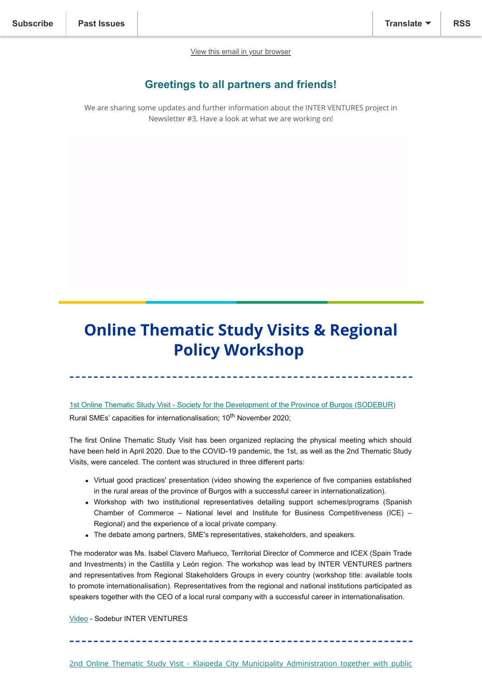[View this email in your browser](https://mailchi.mp/8d1de61fdcc3/inter-ventures-3rd-newsletter-6565932?e=[UNIQID])

## **Greetings to all partners and friends!**

We are sharing some updates and further information about the INTER VENTURES project in Newsletter #3. Have a look at what we are working on!

# **Online Thematic Study Visits & Regional Policy Workshop**

[1st Online Thematic Study Visit - Society for the Development of the Province of Burgos \(SODEBUR\)](https://www.interregeurope.eu/interventures/news/news-article/10315/1st-online-thematic-study-visit/) Rural SMEs' capacities for internationalisation: 10<sup>th</sup> November 2020:

The first Online Thematic Study Visit has been organized replacing the physical meeting which should have been held in April 2020. Due to the COVID-19 pandemic, the 1st, as well as the 2nd Thematic Study Visits, were canceled. The content was structured in three different parts:

- Virtual good practices' presentation (video showing the experience of five companies established in the rural areas of the province of Burgos with a successful career in internationalization).
- Workshop with two institutional representatives detailing support schemes/programs (Spanish Chamber of Commerce – National level and Institute for Business Competitiveness (ICE) – Regional) and the experience of a local private company.
- The debate among partners, SME's representatives, stakeholders, and speakers.

The moderator was Ms. Isabel Clavero Mañueco, Territorial Director of Commerce and ICEX (Spain Trade and Investments) in the Castilla y León region. The workshop was lead by INTER VENTURES partners and representatives from Regional Stakeholders Groups in every country (workshop title: available tools to promote internationalisation). Representatives from the regional and national institutions participated as speakers together with the CEO of a local rural company with a successful career in internationalisation.

[Video](https://www.youtube.com/watch?v=6hqfe1Yskq0&feature=youtu.be) - Sodebur INTER VENTURES

[2nd Online Thematic Study Visit - Klaipeda City Municipality Administration together with public](https://www.interregeurope.eu/interventures/news/news-article/10422/2nd-thematic-study-visit/)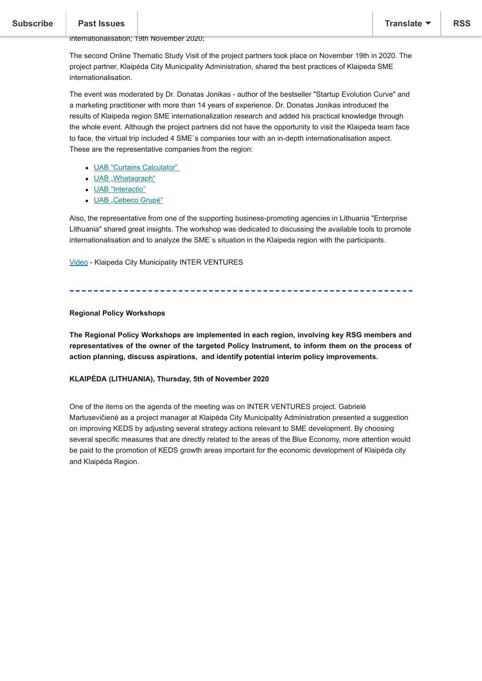#### Past Issues  $\overline{\phantom{a}}$  calculation and  $\overline{\phantom{a}}$  for international international models and support support support support support support support support schemes for SMEs for SMEs for SMEs for SMEs for SMEs for SMEs for SMES for

internationalisation; 19th November 2020;

The second Online Thematic Study Visit of the project partners took place on November 19th in 2020. The project partner, Klaipėda City Municipality Administration, shared the best practices of Klaipeda SME internationalisation.

The event was moderated by Dr. Donatas Jonikas - author of the bestseller "Startup Evolution Curve" and a marketing practitioner with more than 14 years of experience. Dr. Donatas Jonikas introduced the results of Klaipeda region SME internationalization research and added his practical knowledge through the whole event. Although the project partners did not have the opportunity to visit the Klaipeda team face to face, the virtual trip included 4 SME`s companies tour with an in-depth internationalisation aspect. These are the representative companies from the region:

- [UAB "Curtains Calculator"](https://curtainscalculator.com/)
- [UAB "Whatagraph"](https://whatagraph.com/)
- [UAB "Interactio"](https://interactio.io/)
- [UAB "Cebeco Grupė"](https://www.cebeco-group.com/)

Also, the representative from one of the supporting business-promoting agencies in Lithuania "Enterprise Lithuania" shared great insights. The workshop was dedicated to discussing the available tools to promote internationalisation and to analyze the SME`s situation in the Klaipeda region with the participants.

[Video](https://www.interregeurope.eu/interventures/library/#folder=2671) - Klaipeda City Municipality INTER VENTURES

#### **Regional Policy Workshops**

**The Regional Policy Workshops are implemented in each region, involving key RSG members and representatives of the owner of the targeted Policy Instrument, to inform them on the process of action planning, discuss aspirations, and identify potential interim policy improvements.**

#### **KLAIPĖDA (LITHUANIA), Thursday, 5th of November 2020**

One of the items on the agenda of the meeting was on INTER VENTURES project. Gabrielė Martusevičienė as a project manager at Klaipėda City Municipality Administration presented a suggestion on improving KEDS by adjusting several strategy actions relevant to SME development. By choosing several specific measures that are directly related to the areas of the Blue Economy, more attention would be paid to the promotion of KEDS growth areas important for the economic development of Klaipėda city and Klaipėda Region.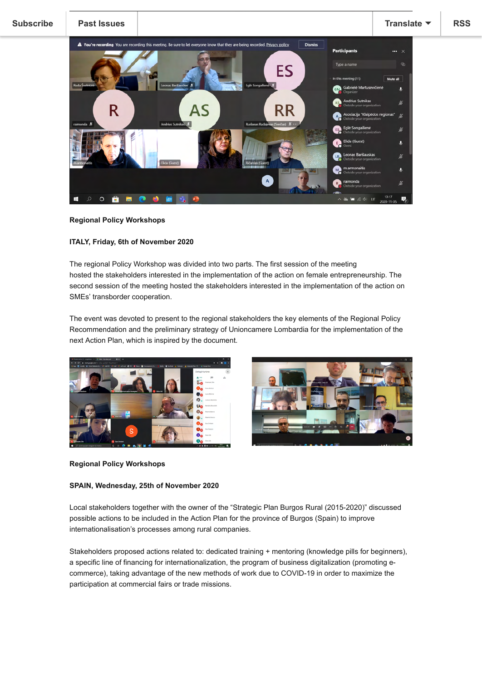

#### **Regional Policy Workshops**

#### **ITALY, Friday, 6th of November 2020**

The regional Policy Workshop was divided into two parts. The first session of the meeting hosted the stakeholders interested in the implementation of the action on female entrepreneurship. The second session of the meeting hosted the stakeholders interested in the implementation of the action on SMEs' transborder cooperation.

The event was devoted to present to the regional stakeholders the key elements of the Regional Policy Recommendation and the preliminary strategy of Unioncamere Lombardia for the implementation of the next Action Plan, which is inspired by the document.





#### **Regional Policy Workshops**

#### **SPAIN, Wednesday, 25th of November 2020**

Local stakeholders together with the owner of the "Strategic Plan Burgos Rural (2015-2020)" discussed possible actions to be included in the Action Plan for the province of Burgos (Spain) to improve internationalisation's processes among rural companies.

Stakeholders proposed actions related to: dedicated training + mentoring (knowledge pills for beginners), a specific line of financing for internationalization, the program of business digitalization (promoting ecommerce), taking advantage of the new methods of work due to COVID-19 in order to maximize the participation at commercial fairs or trade missions.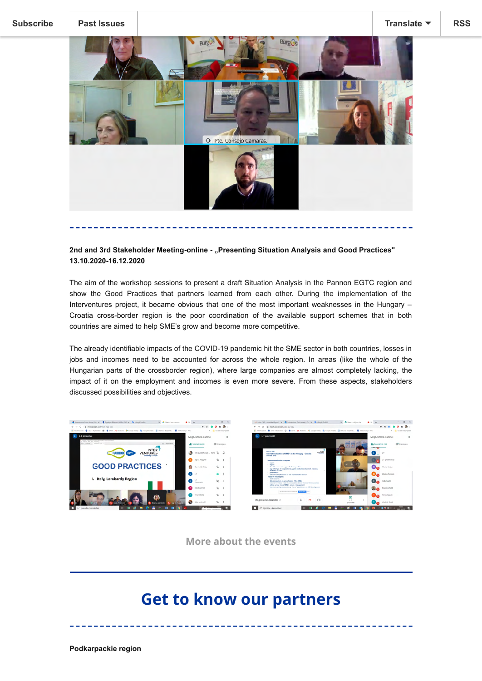

### **2nd and 3rd Stakeholder Meeting-online - "Presenting Situation Analysis and Good Practices" 13.10.2020-16.12.2020**

The aim of the workshop sessions to present a draft Situation Analysis in the Pannon EGTC region and show the Good Practices that partners learned from each other. During the implementation of the Interventures project, it became obvious that one of the most important weaknesses in the Hungary – Croatia cross-border region is the poor coordination of the available support schemes that in both countries are aimed to help SME's grow and become more competitive.

The already identifiable impacts of the COVID-19 pandemic hit the SME sector in both countries, losses in jobs and incomes need to be accounted for across the whole region. In areas (like the whole of the Hungarian parts of the crossborder region), where large companies are almost completely lacking, the impact of it on the employment and incomes is even more severe. From these aspects, stakeholders discussed possibilities and objectives.





**[More about the events](https://www.interregeurope.eu/interventures/news/)**

# **Get to know our partners**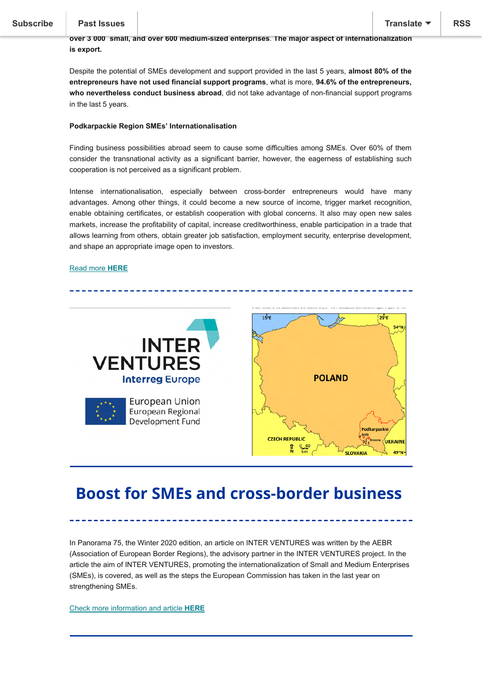### [Podkarpackie region](https://us4.campaign-archive.com/home/?u=729e9317b12551e29df7c2fbb&id=5bbecfc089) located in south-eastern Poland is one of the EU's outermost regions. In the Podkarpackie region, **SMEs constitute 99,9%** of all enterprises. **In 2019** there were **over 150 000 Micro,**

**over 3 000 small, and over 600 medium-sized enterprises**. **The major aspect of internationalization is export.**

Despite the potential of SMEs development and support provided in the last 5 years, **almost 80% of the entrepreneurs have not used financial support programs**, what is more, **94.6% of the entrepreneurs, who nevertheless conduct business abroad**, did not take advantage of non-financial support programs in the last 5 years.

#### **Podkarpackie Region SMEs' Internationalisation**

Finding business possibilities abroad seem to cause some difficulties among SMEs. Over 60% of them consider the transnational activity as a significant barrier, however, the eagerness of establishing such cooperation is not perceived as a significant problem.

Intense internationalisation, especially between cross-border entrepreneurs would have many advantages. Among other things, it could become a new source of income, trigger market recognition, enable obtaining certificates, or establish cooperation with global concerns. It also may open new sales markets, increase the profitability of capital, increase creditworthiness, enable participation in a trade that allows learning from others, obtain greater job satisfaction, employment security, enterprise development, and shape an appropriate image open to investors.

#### [Read more](https://www.interregeurope.eu/interventures/get-to-knowour-partners/podkarpackie-region/) **HERE**



# **Boost for SMEs and cross-border business**

In Panorama 75, the Winter 2020 edition, an article on INTER VENTURES was written by the AEBR (Association of European Border Regions), the advisory partner in the INTER VENTURES project. In the article the aim of INTER VENTURES, promoting the internationalization of Small and Medium Enterprises (SMEs), is covered, as well as the steps the European Commission has taken in the last year on strengthening SMEs.

[Check more information and artic](https://www.interregeurope.eu/interventures/news/news-article/10959/boost-for-smes-and-cross-border-business/)le **[HERE](https://www.interregeurope.eu/interventures/news/news-article/10959/boost-for-smes-and-cross-border-business/)**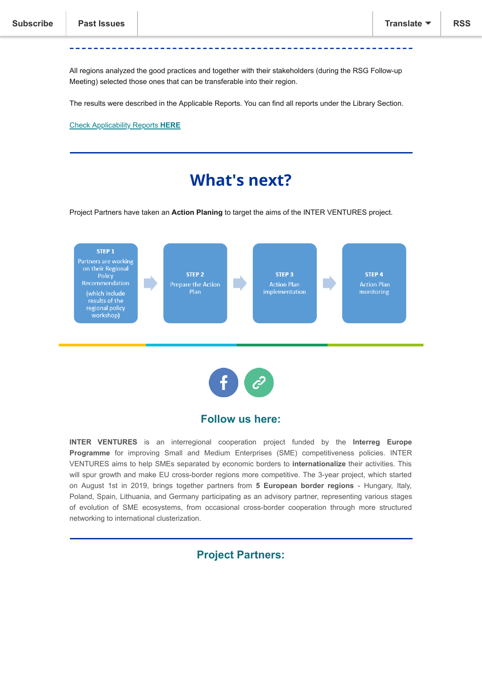All regions analyzed the good practices and together with their stakeholders (during the RSG Follow-up Meeting) selected those ones that can be transferable into their region.

The results were described in the Applicable Reports. You can find all reports under the Library Section.

[Check Applicability Reports](https://www.interregeurope.eu/interventures/library/#folder=2763) **HERE**

## **What's next?**

Project Partners have taken an **Action Planing** to target the aims of the INTER VENTURES project.





### **Follow us here:**

**INTER VENTURES** is an interregional cooperation project funded by the **Interreg Europe Programme** for improving Small and Medium Enterprises (SME) competitiveness policies. INTER VENTURES aims to help SMEs separated by economic borders to **internationalize** their activities. This will spur growth and make EU cross-border regions more competitive. The 3-year project, which started on August 1st in 2019, brings together partners from **5 European border regions** - Hungary, Italy, Poland, Spain, Lithuania, and Germany participating as an advisory partner, representing various stages of evolution of SME ecosystems, from occasional cross-border cooperation through more structured networking to international clusterization.

### **Project Partners:**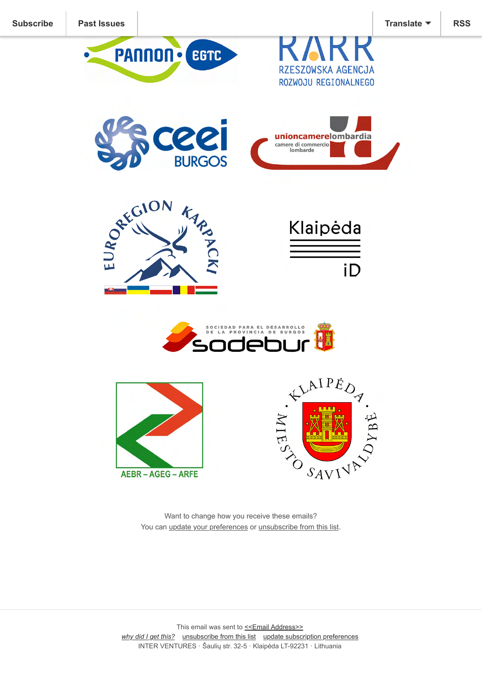

Want to change how you receive these emails? You can [update your preferences](https://interregeurope.us4.list-manage.com/profile?u=729e9317b12551e29df7c2fbb&id=5bbecfc089&e=[UNIQID]&c=156ba53ec6) or [unsubscribe from this list.](https://interregeurope.us4.list-manage.com/unsubscribe?u=729e9317b12551e29df7c2fbb&id=5bbecfc089&e=[UNIQID]&c=156ba53ec6)